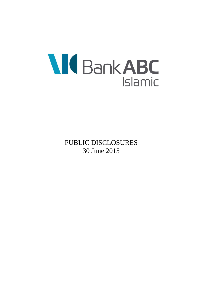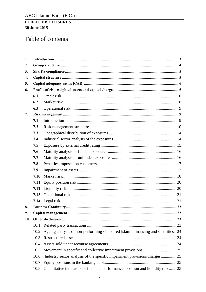# Table of contents

| 1.  |      |                                                                                   |  |
|-----|------|-----------------------------------------------------------------------------------|--|
| 2.  |      |                                                                                   |  |
| 3.  |      |                                                                                   |  |
| 4.  |      |                                                                                   |  |
| 5.  |      |                                                                                   |  |
| 6.  |      |                                                                                   |  |
|     | 6.1  |                                                                                   |  |
|     | 6.2  |                                                                                   |  |
|     | 6.3  |                                                                                   |  |
| 7.  |      |                                                                                   |  |
|     | 7.1  |                                                                                   |  |
|     | 7.2  |                                                                                   |  |
|     | 7.3  |                                                                                   |  |
|     | 7.4  |                                                                                   |  |
|     | 7.5  |                                                                                   |  |
|     | 7.6  |                                                                                   |  |
|     | 7.7  |                                                                                   |  |
|     | 7.8  |                                                                                   |  |
|     | 7.9  |                                                                                   |  |
|     | 7.10 |                                                                                   |  |
|     | 7.11 |                                                                                   |  |
|     | 7.12 |                                                                                   |  |
|     | 7.13 |                                                                                   |  |
|     |      |                                                                                   |  |
| 8.  |      |                                                                                   |  |
| 9.  |      |                                                                                   |  |
| 10. |      |                                                                                   |  |
|     | 10.1 |                                                                                   |  |
|     | 10.2 | Ageing analysis of non-performing / impaired Islamic financing and securities  24 |  |
|     | 10.3 |                                                                                   |  |
|     | 10.4 |                                                                                   |  |
|     | 10.5 |                                                                                   |  |
|     | 10.6 | Industry sector analysis of the specific impairment provisions charges 25         |  |
|     | 10.7 |                                                                                   |  |
|     | 10.8 | Quantitative indicators of financial performance, position and liquidity risk  25 |  |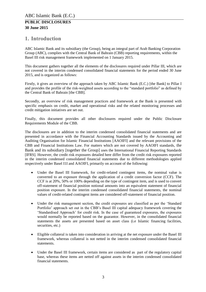# <span id="page-2-0"></span>**1. Introduction**

ABC Islamic Bank and its subsidiary (the Group), being an integral part of Arab Banking Corporation Group (ABC), complies with the Central Bank of Bahrain (CBB) reporting requirements, within the Basel III risk management framework implemented on 1 January 2015.

This document gathers together all the elements of the disclosures required under Pillar III, which are not covered in the interim condensed consolidated financial statements for the period ended 30 June 2015, and is organized as follows:

Firstly, it gives an overview of the approach taken by ABC Islamic Bank (E.C.) [the Bank] to Pillar I and provides the profile of the risk-weighted assets according to the "standard portfolio" as defined by the Central Bank of Bahrain [the CBB].

Secondly, an overview of risk management practices and framework at the Bank is presented with specific emphasis on credit, market and operational risks and the related monitoring processes and credit mitigation initiatives are set out.

Finally, this document provides all other disclosures required under the Public Disclosure Requirements Module of the CBB.

The disclosures are in addition to the interim condensed consolidated financial statements and are presented in accordance with the Financial Accounting Standards issued by the Accounting and Auditing Organisation for Islamic Financial Institutions [AAOIFI] and the relevant provisions of the CBB and Financial Institutions Law. For matters which are not covered by AAOIFI standards, the Bank and its subsidiary [together the Group] uses the International Financial Reporting Standards [IFRS]. However, the credit risk exposures detailed here differ from the credit risk exposures reported in the interim condensed consolidated financial statements due to different methodologies applied respectively under Basel I1I and AAOIFI, primarily on account of the following:

- Under the Basel III framework, for credit-related contingent items, the nominal value is converted to an exposure through the application of a credit conversion factor (CCF). The CCF is at 20%, 50% or 100% depending on the type of contingent item, and is used to convert off-statement of financial position notional amounts into an equivalent statement of financial position exposure. In the interim condensed consolidated financial statements, the nominal values of credit-related contingent items are considered off-statement of financial position.
- Under the risk management section, the credit exposures are classified as per the 'Standard Portfolio' approach set out in the CBB's Basel III capital adequacy framework covering the 'Standardised Approach' for credit risk. In the case of guaranteed exposures, the exposures would normally be reported based on the guarantor. However, in the consolidated financial statements the assets are presented based on asset class (i.e Islamic financing facilities, securities, etc.)
- Eligible collateral is taken into consideration in arriving at the net exposure under the Basel III framework, whereas collateral is not netted in the interim condensed consolidated financial statements.
- Under the Basel III framework, certain items are considered as part of the regulatory capital base, whereas these items are netted off against assets in the interim condensed consolidated financial statements.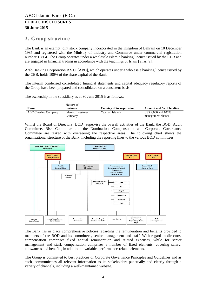### **30 June 2015**

# <span id="page-3-0"></span>**2. Group structure**

The Bank is an exempt joint stock company incorporated in the Kingdom of Bahrain on 10 December 1985 and registered with the Ministry of Industry and Commerce under commercial registration number 16864. The Group operates under a wholesale Islamic banking licence issued by the CBB and are engaged in financial trading in accordance with the teachings of Islam [Shari'a].

Arab Banking Corporation B.S.C. [ABC], which operates under a wholesale banking licence issued by the CBB, holds 100% of the share capital of the Bank.

The interim condensed consolidated financial statements and capital adequacy regulatory reports of the Group have been prepared and consolidated on a consistent basis.

The ownership in the subsidiary as at 30 June 2015 is as follows:

|                             | Nature of          |                          |                         |
|-----------------------------|--------------------|--------------------------|-------------------------|
| Name                        | <b>business</b>    | Country of incorporation | Amount and % of holding |
| <b>ABC Clearing Company</b> | Islamic Investment | Cavman Islands           | US\$ 2,000 and 100%     |
|                             | Company            |                          | management shares       |

Whilst the Board of Directors [BOD] supervise the overall activities of the Bank, the BOD, Audit Committee, Risk Committee and the Nomination, Compensation and Corporate Governance Committee are tasked with overseeing the respective areas. The following chart shows the organisational structure of the Bank, including the reporting lines to the various BOD committees.



The Bank has in place comprehensive policies regarding the remuneration and benefits provided to members of the BOD and its committees, senior management and staff. With regard to directors, compensation comprises fixed annual remuneration and related expenses, while for senior management and staff, compensation comprises a number of fixed elements, covering salary, allowances and benefits, in addition to variable, performance-related elements.

The Group is committed to best practices of Corporate Governance Principles and Guidelines and as such, communicates all relevant information to its stakeholders punctually and clearly through a variety of channels, including a well-maintained website.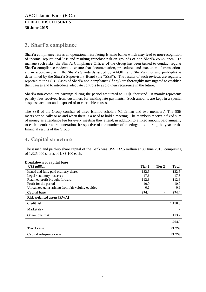# <span id="page-4-0"></span>**3. Shari'a compliance**

Shari'a compliance risk is an operational risk facing Islamic banks which may lead to non-recognition of income, reputational loss and resulting franchise risk on grounds of non-Shari'a compliance. To manage such risks, the Shari'a Compliance Officer of the Group has been tasked to conduct regular Shari'a compliance reviews to ensure that documentation, procedures and execution of transactions are in accordance with the Shari'a Standards issued by AAOIFI and Shari'a rules and principles as determined by the Shari'a Supervisory Board (the "SSB"). The results of such reviews are regularly reported to the SSB. Cases of Shari'a non-compliance (if any) are thoroughly investigated to establish their causes and to introduce adequate controls to avoid their recurrence in the future.

Shari'a non-compliant earnings during the period amounted to US\$6 thousand. It mainly represents penalty fees received from customers for making late payments. Such amounts are kept in a special suspense account and disposed of to charitable causes.

The SSB of the Group consists of three Islamic scholars (Chairman and two members). The SSB meets periodically or as and when there is a need to hold a meeting. The members receive a fixed sum of money as attendance fee for every meeting they attend, in addition to a fixed amount paid annually to each member as remuneration, irrespective of the number of meetings held during the year or the financial results of the Group.

# <span id="page-4-1"></span>**4. Capital structure**

The issued and paid-up share capital of the Bank was US\$ 132.5 million at 30 June 2015, comprising of 1,325,000 shares of US\$ 100 each.

<span id="page-4-2"></span>

| DI CARUUWII UI CAPITAI DASC                         |        |                |              |
|-----------------------------------------------------|--------|----------------|--------------|
| US\$ million                                        | Tier 1 | Tier 2         | <b>Total</b> |
| Issued and fully paid ordinary shares               | 132.5  | $\blacksquare$ | 132.5        |
| Legal / statutory reserves                          | 17.6   |                | 17.6         |
| Retained profit brought forward                     | 112.8  |                | 112.8        |
| Profit for the period                               | 10.9   |                | 10.9         |
| Unrealized gains arising from fair valuing equities | 0.6    |                | 0.6          |
| <b>Capital base</b>                                 | 274.4  |                | 274.4        |
| <b>Risk weighted assets [RWA]</b>                   |        |                |              |
| Credit risk                                         |        |                | 1,150.8      |
| Market risk                                         |        |                |              |
| Operational risk                                    |        |                | 113.2        |
|                                                     |        |                | 1,264.0      |
| Tier 1 ratio                                        |        |                | 21.7%        |
| Capital adequacy ratio                              |        |                | 21.7%        |

### **Breakdown of capital base**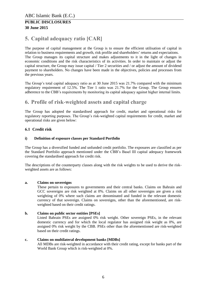# **5. Capital adequacy ratio [CAR]**

The purpose of capital management at the Group is to ensure the efficient utilisation of capital in relation to business requirements and growth, risk profile and shareholders' returns and expectations. The Group manages its capital structure and makes adjustments to it in the light of changes in economic conditions and the risk characteristics of its activities. In order to maintain or adjust the capital structure, the Group may issue capital / Tier 2 securities and / or adjust the amount of dividend payment to shareholders. No changes have been made in the objectives, policies and processes from the previous years.

The Group's total capital adequacy ratio as at 30 June 2015 was 21.7% compared with the minimum regulatory requirement of 12.5%. The Tier 1 ratio was 21.7% for the Group. The Group ensures adherence to the CBB's requirements by monitoring its capital adequacy against higher internal limits.

# <span id="page-5-0"></span>**6. Profile of risk-weighted assets and capital charge**

The Group has adopted the standardised approach for credit, market and operational risks for regulatory reporting purposes. The Group's risk-weighted capital requirements for credit, market and operational risks are given below:

# <span id="page-5-1"></span>**6.1 Credit risk**

### **i) Definition of exposure classes per Standard Portfolio**

The Group has a diversified funded and unfunded credit portfolio. The exposures are classified as per the Standard Portfolio approach mentioned under the CBB's Basel III capital adequacy framework covering the standardised approach for credit risk.

The descriptions of the counterparty classes along with the risk weights to be used to derive the riskweighted assets are as follows:

### **a. Claims on sovereigns**

These pertain to exposures to governments and their central banks. Claims on Bahrain and GCC sovereigns are risk weighted at 0%. Claims on all other sovereigns are given a risk weighting of 0% where such claims are denominated and funded in the relevant domestic currency of that sovereign. Claims on sovereigns, other than the aforementioned, are riskweighted based on their credit ratings.

### **b. Claims on public sector entities [PSEs]**

Listed Bahrain PSEs are assigned 0% risk weight. Other sovereign PSEs, in the relevant domestic currency and for which the local regulator has assigned risk weight as 0%, are assigned 0% risk weight by the CBB. PSEs other than the aforementioned are risk-weighted based on their credit ratings.

### **c. Claims on multilateral development banks [MDBs]**

All MDBs are risk-weighted in accordance with their credit rating, except for banks part of the World Bank Group which is risk-weighted at 0%.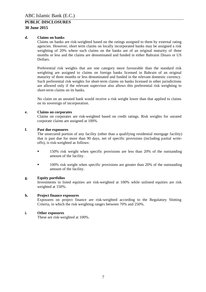### **30 June 2015**

#### **d. Claims on banks**

Claims on banks are risk-weighted based on the ratings assigned to them by external rating agencies. However, short term claims on locally incorporated banks may be assigned a risk weighting of 20% where such claims on the banks are of an original maturity of three months or less and the claims are denominated and funded in either Bahraini Dinars or US Dollars.

Preferential risk weights that are one category more favourable than the standard risk weighting are assigned to claims on foreign banks licensed in Bahrain of an original maturity of three months or less denominated and funded in the relevant domestic currency. Such preferential risk weights for short-term claims on banks licensed in other jurisdictions are allowed only if the relevant supervisor also allows this preferential risk weighting to short-term claims on its banks.

No claim on an unrated bank would receive a risk weight lower than that applied to claims on its sovereign of incorporation.

#### **e. Claims on corporates**

Claims on corporates are risk-weighted based on credit ratings. Risk weights for unrated corporate claims are assigned at 100%.

#### **f. Past due exposures**

The unsecured portion of any facility (other than a qualifying residential mortgage facility) that is past due for more than 90 days, net of specific provisions (including partial writeoffs), is risk-weighted as follows:

- 150% risk weight when specific provisions are less than 20% of the outstanding amount of the facility.
- <sup>100%</sup> risk weight when specific provisions are greater than 20% of the outstanding amount of the facility.

#### **g. Equity portfolios**

Investments in listed equities are risk-weighted at 100% while unlisted equities are risk weighted at 150%.

#### **h. Project finance exposures**

Exposures on project finance are risk-weighted according to the Regulatory Slotting Criteria, in which the risk weighting ranges between 70% and 250%.

#### **i. Other exposures**

These are risk-weighted at 100%.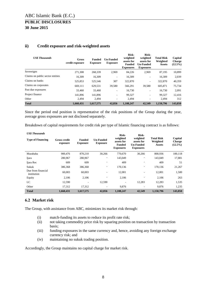| <b>US\$</b> Thousands            | Gross<br>credit exposure | <b>Funded</b><br><b>Exposure</b> | <b>Un-Funded</b><br><b>Exposure</b> | Risk-<br>weighted<br>assets for<br><b>Funded</b><br><b>Exposures</b> | Risk-<br>weighted<br>assets for<br><b>Un-Funded</b><br><b>Exposures</b> | <b>Total Risk</b><br>Weighted<br><b>Assets</b> | Capital<br><b>Charge</b><br>$(12.5\%)$ |
|----------------------------------|--------------------------|----------------------------------|-------------------------------------|----------------------------------------------------------------------|-------------------------------------------------------------------------|------------------------------------------------|----------------------------------------|
| Sovereigns                       | 271,308                  | 268,339                          | 2,969                               | 84.226                                                               | 2,969                                                                   | 87,195                                         | 10,899                                 |
| Claims on public sector entities | 16.309                   | 16,309                           | $\overline{\phantom{a}}$            | 16,309                                                               | $\qquad \qquad \blacksquare$                                            | 16,309                                         | 2,039                                  |
| Claims on banks                  | 525.853                  | 525,546                          | 307                                 | 322,870                                                              | ۰                                                                       | 322,870                                        | 40,359                                 |
| Claims on corporates             | 669,111                  | 629,531                          | 39.580                              | 566,291                                                              | 39,580                                                                  | 605,871                                        | 75,734                                 |
| Past due exposures               | 33.460                   | 33,460                           | ٠.                                  | 16.730                                                               | $\qquad \qquad \blacksquare$                                            | 16,730                                         | 2,091                                  |
| Project finance                  | 141.896                  | 141.896                          | $\overline{\phantom{a}}$            | 99.327                                                               | $\qquad \qquad \blacksquare$                                            | 99.327                                         | 12,416                                 |
| Other                            | 2.494                    | 2.494                            | ۰                                   | 2,494                                                                | ۰                                                                       | 2,494                                          | 312                                    |
| <b>Total</b>                     | 1.660.431                | 1,617,575                        | 42,856                              | 1.108.247                                                            | 42,549                                                                  | 1.150.796                                      | 143,850                                |

#### **ii) Credit exposure and risk-weighted assets**

Since the period end position is representative of the risk positions of the Group during the year, average gross exposures are not disclosed separately.

Breakdown of capital requirements for credit risk per type of Islamic financing contract is as follows:

| <b>US\$</b> Thousands<br><b>Type of Financing</b> | <b>Gross credit</b><br>exposure | <b>Funded</b><br><b>Exposure</b> | <b>Un-Funded</b><br><b>Exposure</b> | Risk-<br>weighted<br>assets for<br><b>Funded</b><br><b>Exposures</b> | Risk-<br>weighted<br>assets for<br><b>Un-Funded</b><br><b>Exposures</b> | <b>Total Risk</b><br>Weighted<br><b>Assets</b> | Capital<br><b>Charge</b><br>$(12.5\%)$ |
|---------------------------------------------------|---------------------------------|----------------------------------|-------------------------------------|----------------------------------------------------------------------|-------------------------------------------------------------------------|------------------------------------------------|----------------------------------------|
| Murabaha                                          | 900,476                         | 870,210                          | 30,266                              | 770,670                                                              | 30,266                                                                  | 800,936                                        | 100,118                                |
| Ijara                                             | 280,967                         | 280,967                          |                                     | 143,049                                                              | ۰                                                                       | 143,049                                        | 17,881                                 |
| Ijara Rec                                         | 609                             | 609                              | $\overline{\phantom{a}}$            | 409                                                                  | -                                                                       | 409                                            | 51                                     |
| Sukuk                                             | 386,368                         | 386,368                          | $\overline{\phantom{a}}$            | 170,136                                                              | ٠                                                                       | 170,136                                        | 21,267                                 |
| Due from financial<br>institution                 | 60,003                          | 60,003                           | $\overline{\phantom{a}}$            | 12,001                                                               | $\overline{\phantom{a}}$                                                | 12,001                                         | 1,500                                  |
| Equity                                            | 2.106                           | 2,106                            |                                     | 2,106                                                                | ۰                                                                       | 2.106                                          | 263                                    |
| LC                                                | 12,590                          |                                  | 12,590                              |                                                                      | 12,283                                                                  | 12,283                                         | 1,535                                  |
| Other                                             | 17,312                          | 17.312                           |                                     | 9,876                                                                | ۰                                                                       | 9,876                                          | 1,235                                  |
| <b>Total</b>                                      | 1,660,431                       | 1,617,575                        | 42,856                              | 1,108,247                                                            | 42,549                                                                  | 1,150,796                                      | 143,850                                |

#### <span id="page-7-0"></span>**6.2 Market risk**

The Group, with assistance from ABC, minimizes its market risk through:

- (i) match-funding its assets to reduce its profit rate risk;
- (ii) not taking commodity price risk by squaring position on transaction by transaction basis;
- (iii) funding exposures in the same currency and, hence, avoiding any foreign exchange currency risk; and
- (iv) maintaining no sukuk trading position.

Accordingly, the Group maintains no capital charge for market risk.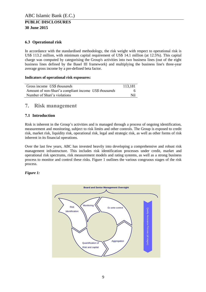### <span id="page-8-0"></span>**6.3 Operational risk**

In accordance with the standardised methodology, the risk weight with respect to operational risk is US\$ 113.2 million, with minimum capital requirement of US\$ 14.1 million (at 12.5%). This capital charge was computed by categorising the Group's activities into two business lines (out of the eight business lines defined by the Basel III framework) and multiplying the business line's three-year average gross income by a pre-defined beta factor.

### **Indicators of operational risk exposures:**

| Gross income US\$ thousands                           | 113.181 |
|-------------------------------------------------------|---------|
| Amount of non-Shari'a compliant income US\$ thousands |         |
| Number of Shari'a violations                          | Nil     |

# <span id="page-8-1"></span>**7. Risk management**

# <span id="page-8-2"></span>**7.1 Introduction**

Risk is inherent in the Group's activities and is managed through a process of ongoing identification, measurement and monitoring, subject to risk limits and other controls. The Group is exposed to credit risk, market risk, liquidity risk, operational risk, legal and strategic risk, as well as other forms of risk inherent in its financial operations.

Over the last few years, ABC has invested heavily into developing a comprehensive and robust risk management infrastructure. This includes risk identification processes under credit, market and operational risk spectrums, risk measurement models and rating systems, as well as a strong business process to monitor and control these risks. Figure 1 outlines the various congruous stages of the risk process.

### *Figure 1:*

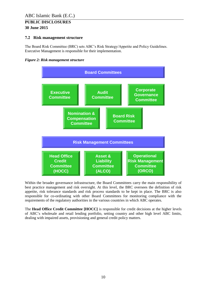# <span id="page-9-0"></span>**7.2 Risk management structure**

The Board Risk Committee (BRC) sets ABC's Risk Strategy/Appetite and Policy Guidelines. Executive Management is responsible for their implementation.





Within the broader governance infrastructure, the Board Committees carry the main responsibility of best practice management and risk oversight. At this level, the BRC oversees the definition of risk appetite, risk tolerance standards and risk process standards to be kept in place. The BRC is also responsible for co-ordinating with other Board Committees for monitoring compliance with the requirements of the regulatory authorities in the various countries in which ABC operates.

The **Head Office Credit Committee [HOCC]** is responsible for credit decisions at the higher levels of ABC's wholesale and retail lending portfolio, setting country and other high level ABC limits, dealing with impaired assets, provisioning and general credit policy matters.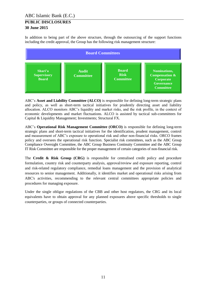In addition to being part of the above structure, through the outsourcing of the support functions including the credit approval, the Group has the following risk management structure:



ABC's **Asset and Liability Committee (ALCO)** is responsible for defining long-term strategic plans and policy, as well as short-term tactical initiatives for prudently directing asset and liability allocation. ALCO monitors ABC's liquidity and market risks, and the risk profile, in the context of economic developments and market fluctuations. ALCO is assisted by tactical sub-committees for Capital & Liquidity Management; Investments; Structural FX.

ABC's **Operational Risk Management Committee (ORCO)** is responsible for defining long-term strategic plans and short-term tactical initiatives for the identification, prudent management, control and measurement of ABC's exposure to operational risk and other non-financial risks. ORCO frames policy and oversees the operational risk function. Specialist risk committees, such as the ABC Group Compliance Oversight Committee, the ABC Group Business Continuity Committee and the ABC Group IT Risk Committee are responsible for the proper management of certain categories of non-financial risk.

The **Credit & Risk Group (CRG)** is responsible for centralised credit policy and procedure formulation, country risk and counterparty analysis, approval/review and exposure reporting, control and risk-related regulatory compliance, remedial loans management and the provision of analytical resources to senior management. Additionally, it identifies market and operational risks arising from ABC's activities, recommending to the relevant central committees appropriate policies and procedures for managing exposure.

Under the single obligor regulations of the CBB and other host regulators, the CRG and its local equivalents have to obtain approval for any planned exposures above specific thresholds to single counterparties, or groups of connected counterparties.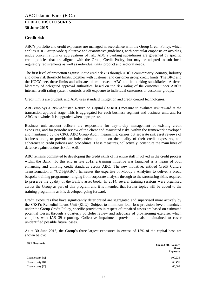### **Credit risk**

ABC's portfolio and credit exposures are managed in accordance with the Group Credit Policy, which applies ABC Group-wide qualitative and quantitative guidelines, with particular emphasis on avoiding undue concentrations or aggregations of risk. ABC's banking subsidiaries are governed by specific credit policies that are aligned with the Group Credit Policy, but may be adapted to suit local regulatory requirements as well as individual units' product and sectoral needs.

The first level of protection against undue credit risk is through ABC's counterparty, country, industry and other risk threshold limits, together with customer and customer group credit limits. The BRC and the HOCC sets these limits and allocates them between ABC and its banking subsidiaries. A tiered hierarchy of delegated approval authorities, based on the risk rating of the customer under ABC's internal credit rating system, controls credit exposure to individual customers or customer groups.

Credit limits are prudent, and ABC uses standard mitigation and credit control technologies.

ABC employs a Risk-Adjusted Return on Capital (RAROC) measure to evaluate risk/reward at the transaction approval stage. This is aggregated for each business segment and business unit, and for ABC as a whole. It is upgraded when appropriate.

Business unit account officers are responsible for day-to-day management of existing credit exposures, and for periodic review of the client and associated risks, within the framework developed and maintained by the CRG. ABC Group Audit, meanwhile, carries out separate risk asset reviews of business units, to provide an independent opinion on the quality of their credit exposures, and adherence to credit policies and procedures. These measures, collectively, constitute the main lines of defence against undue risk for ABC.

ABC remains committed to developing the credit skills of its entire staff involved in the credit process within the Bank. To this end in late 2012, a training initiative was launched as a means of both enhancing and unifying credit standards across ABC. The new initiative, entitled Credit Culture Transformation or "CCT@ABC", harnesses the expertise of Moody's Analytics to deliver a broad bespoke training programme, ranging from corporate analysis through to the structuring skills required to preserve the quality of the Bank's asset book. In 2014, several training sessions were organised across the Group as part of this program and it is intended that further topics will be added to the training programme as it is developed going forward.

Credit exposures that have significantly deteriorated are segregated and supervised more actively by the CRG's Remedial Loans Unit (RLU). Subject to minimum loan loss provision levels mandated under the Group Credit Policy, specific provisions in respect of impaired assets are based on estimated potential losses, through a quarterly portfolio review and adequacy of provisioning exercise, which complies with IAS 39 reporting. Collective impairment provision is also maintained to cover unidentified possible future losses.

As at 30 June 2015, the Group's three largest exposures in excess of 15% of the capital base are shown below:

| <b>US\$ Thousands</b> | <b>On and off-Balance</b><br><b>Sheet</b><br><b>Exposure</b> |
|-----------------------|--------------------------------------------------------------|
| Counterparty [A]      | 100,226                                                      |
| Counterparty [B]      | 60,491                                                       |
| Counterparty [C]      | 60,003                                                       |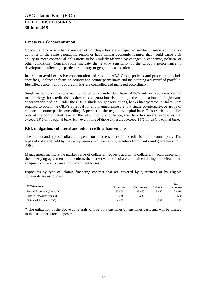### **Excessive risk concentration**

Concentrations arise when a number of counterparties are engaged in similar business activities or activities in the same geographic region or have similar economic features that would cause their ability to meet contractual obligations to be similarly affected by changes in economic, political or other conditions. Concentrations indicate the relative sensitivity of the Group's performance to developments affecting a particular industry or geographical location.

In order to avoid excessive concentrations of risk, the ABC Group policies and procedures include specific guidelines to focus on country and counterparty limits and maintaining a diversified portfolio. Identified concentrations of credit risks are controlled and managed accordingly.

Single name concentrations are monitored on an individual basis. ABC's internal economic capital methodology for credit risk addresses concentration risk through the application of single-name concentration add-on. Under the CBB's single obligor regulations, banks incorporated in Bahrain are required to obtain the CBB's approval for any planned exposure to a single counterparty, or group of connected counterparties exceeding 15 percent of the regulatory capital base. This restriction applies only at the consolidated level of the ABC Group and, hence, the Bank has several exposures that exceed 15% of its capital base. However, none of these exposures exceed 15% of ABC's capital base.

### **Risk mitigation, collateral and other credit enhancements**

The amount and type of collateral depends on an assessment of the credit risk of the counterparty. The types of collateral held by the Group mainly include cash, guarantees from banks and guarantees from ABC.

Management monitors the market value of collateral, requests additional collateral in accordance with the underlying agreement and monitors the market value of collateral obtained during its review of the adequacy of the allowance for impairment losses.

Exposures by type of Islamic financing contract that are covered by guarantees or by eligible collaterals are as follows:

| <b>US\$</b> thousands       |                  |            |                          | <b>Net</b> |
|-----------------------------|------------------|------------|--------------------------|------------|
|                             | <b>Exposures</b> | Guaranteed | Collateral*              | exposure   |
| Funded Exposures (Murabaha) | 33,460           | 33,460     | 3.642                    | 29,818     |
| Funded Exposures (Sukuk)    | 1.500            | 1.500      | $\overline{\phantom{a}}$ | 1.500      |
| Unfunded Exposures (LC)     | 44.805           | $\sim$     | 1.533                    | 43,272     |

\* The utilization of the above collaterals will be on a customer by customer basis and will be limited to the customer's total exposure.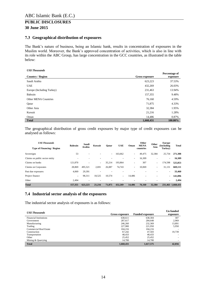### <span id="page-13-0"></span>**7.3 Geographical distribution of exposures**

The Bank's nature of business, being an Islamic bank, results in concentration of exposures in the Muslim world. Moreover, the Bank's approved concentration of activities, which is also in line with its role within the ABC Group, has large concentration in the GCC countries, as illustrated in the table below:

#### *US\$ Thousands*

| <b>Country / Region</b>     | Gross exposure | Percentage of<br>exposure |
|-----------------------------|----------------|---------------------------|
| Saudi Arabia                | 623,223        | 37.53%                    |
| <b>UAE</b>                  | 432,269        | 26.03%                    |
| Europe (Including Turkey)   | 231,463        | 13.94%                    |
| Bahrain                     | 157,355        | 9.48%                     |
| <b>Other MENA Countries</b> | 76,160         | 4.59%                     |
| Qatar                       | 71,875         | 4.33%                     |
| Other Asia                  | 32,384         | 1.95%                     |
| Kuwait                      | 21,216         | 1.28%                     |
| Oman                        | 14,486         | 0.87%                     |
| <b>Total</b>                | 1,660,431      | $100.00\%$                |

The geographical distribution of gross credit exposures by major type of credit exposures can be analysed as follows:

| <b>US\$ Thousands</b>             | <b>Bahrain</b> | Saudi   |                          | Kuwait<br>Oatar | <b>UAE</b>               | Oman   | Other<br><b>MENA</b>     | Other  | Europe<br>(Including     | <b>Total</b>      |
|-----------------------------------|----------------|---------|--------------------------|-----------------|--------------------------|--------|--------------------------|--------|--------------------------|-------------------|
| <b>Type of Financing / Region</b> |                | Arabia  |                          |                 |                          |        | countries                | Asia   | Turkey)                  |                   |
| Sovereigns                        | 53             | -       |                          | $\sim$          | 163,662                  | ۰      | 49,475                   | 32,384 | 25,734                   | 271.308           |
| Claims on public sector entity    |                |         |                          |                 |                          | ۰      | 16,309                   |        | ٠                        | 16,309            |
| Claims on banks                   | 121.870        | -       | $\overline{\phantom{a}}$ | 35,214          | 193,864                  | ۰      | 307                      | ۰      | 174,598                  | 525,853           |
| Claims on Corporates              | 28,869         | 495,521 | 2,691                    | 26,087          | 74,743                   | ٠      | 10,069                   | ۰      | 31,131                   | 669,111           |
| Past due exposures                | 4,069          | 29,391  | ۰                        |                 |                          |        |                          | ۰      | ٠                        | 33,460            |
| Project finance                   | ٠              | 98,311  | 18,525                   | 10,574          | $\overline{\phantom{a}}$ | 14,486 | $\overline{\phantom{a}}$ | ۰      | $\overline{\phantom{0}}$ | 141,896           |
| Other                             | 2.494          | -       |                          |                 |                          |        |                          |        | $\overline{\phantom{0}}$ | 2,494             |
| <b>Total</b>                      | 157,355        | 623.223 | 21.216                   | 71,875          | 432.269                  | 14.486 | 76.160                   | 32,384 |                          | 231,463 1,660,431 |

### <span id="page-13-1"></span>**7.4 Industrial sector analysis of the exposures**

The industrial sector analysis of exposures is as follows:

| <b>US\$</b> Thousands         |                       |                        | <b>Un funded</b>         |
|-------------------------------|-----------------------|------------------------|--------------------------|
|                               | <b>Gross exposure</b> | <b>Funded exposure</b> | exposure                 |
| <b>Financial Institutions</b> | 638,611               | 638,304                | 307                      |
| Government                    | 287,617               | 284,648                | 2,969                    |
| Manufacturing                 | 246,260               | 232,369                | 13,891                   |
| Trading                       | 227,900               | 221,950                | 5,950                    |
| <b>Commercial Real Estate</b> | 104.216               | 104,216                |                          |
| Construction                  | 67.242                | 47,503                 | 19,739                   |
| Transportation                | 48,433                | 48,433                 | $\overline{\phantom{a}}$ |
| Other                         | 25.452                | 25,452                 | $\overline{a}$           |
| Mining & Quarrying            | 14,700                | 14,700                 | $\overline{a}$           |
| <b>Total</b>                  | 1,660,431             | 1,617,575              | 42,856                   |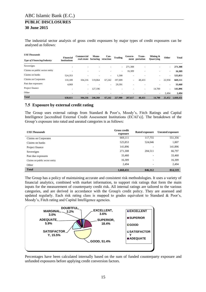The industrial sector analysis of gross credit exposures by major types of credit exposures can be analysed as follows:

| <b>US\$ Thousands</b>             | <b>Financial</b>         | Commercial            | Manu-                    | Con-      | <b>Trading</b>           | Govern-                  | Trans-                   | Mining $\&$              | Other  | <b>Total</b> |
|-----------------------------------|--------------------------|-----------------------|--------------------------|-----------|--------------------------|--------------------------|--------------------------|--------------------------|--------|--------------|
| <b>Type of Financing/Industry</b> | <b>Institutions</b>      | real estate facturing |                          | struction |                          |                          | ment portation           | <b>Ouarrying</b>         |        |              |
| Sovereigns                        | $\overline{\phantom{a}}$ |                       | ٠                        | -         | $\overline{\phantom{a}}$ | 271,308                  | $\overline{\phantom{a}}$ |                          | ٠      | 271,308      |
| Claims on public sector entity    | $\overline{\phantom{a}}$ | ۰                     | $\overline{\phantom{a}}$ | ٠         | $\overline{\phantom{a}}$ | 16,309                   | $\overline{\phantom{a}}$ | $\overline{\phantom{a}}$ | ٠      | 16,309       |
| Claims on banks                   | 524,353                  |                       | $\overline{\phantom{a}}$ | $\sim$    | 1,500                    | $\overline{\phantom{a}}$ |                          |                          | ٠      | 525,853      |
| Claims on Corporates              | 110,189                  | 104.216               | 119,064                  | 67.242    | 197,009                  | $\overline{\phantom{a}}$ | 48,433                   |                          | 22,958 | 669,111      |
| Past due exposures                | 4,069                    |                       |                          | $\sim$    | 29,391                   | $\overline{\phantom{a}}$ |                          |                          | ٠      | 33,460       |
| Project finance                   | $\overline{\phantom{a}}$ | $\sim$                | 127.196                  | -         |                          |                          | $\sim$                   | 14,700                   | $\sim$ | 141,896      |
| Other                             | ٠                        |                       | $\overline{\phantom{a}}$ |           |                          | ٠                        |                          | $\overline{\phantom{a}}$ | 2,494  | 2,494        |
| <b>Total</b>                      | 638,611                  | 104,216               | 246,260                  | 67,242    | 227,900                  | 287,617                  | 48,433                   | 14,700                   | 25,452 | 1,660,431    |

# <span id="page-14-0"></span>**7.5 Exposure by external credit rating**

The Group uses external ratings from Standard & Poor's, Moody's, Fitch Ratings and Capital Intelligence [accredited External Credit Assessment Institutions (ECAI's)]. The breakdown of the Group's exposure into rated and unrated categories is as follows:

| <b>US\$</b> Thousands          | <b>Gross credit</b><br>exposure | Rated exposure           | <b>Unrated exposure</b> |
|--------------------------------|---------------------------------|--------------------------|-------------------------|
| Claims on Corporates           | 669,111                         | 117,755                  | 551,356                 |
| Claims on banks                | 525,853                         | 524,046                  | 1,807                   |
| Project finance                | 141,896                         |                          | 141,896                 |
| Sovereigns                     | 271,308                         | 204,511                  | 66,797                  |
| Past due exposures             | 33,460                          |                          | 33,460                  |
| Claims on public sector entity | 16,309                          | ۰                        | 16,309                  |
| Other                          | 2,494                           | $\overline{\phantom{a}}$ | 2,494                   |
| <b>Total</b>                   | 1,660,431                       | 846,312                  | 814,119                 |

The Group has a policy of maintaining accurate and consistent risk methodologies. It uses a variety of financial analytics, combined with market information, to support risk ratings that form the main inputs for the measurement of counterparty credit risk. All internal ratings are tailored to the various categories, and are derived in accordance with the Group's credit policy. They are assessed and updated regularly. Each risk rating class is mapped to grades equivalent to Standard  $\&$  Poor's, Moody's, Fitch rating and Capital Intelligence agencies.



Percentages have been calculated internally based on the sum of funded counterparty exposure and unfunded exposures before applying credit conversion factors.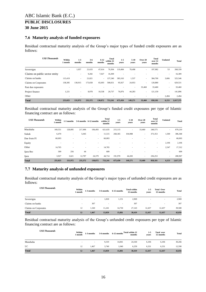### <span id="page-15-0"></span>**7.6 Maturity analysis of funded exposures**

Residual contractual maturity analysis of the Group's major types of funded credit exposures are as follows:

| <b>US\$ Thousands</b>          | Within<br>1 month | $1-3$<br>months          | $3-6$<br>months | $6 - 12$<br>months | Total<br>within 12<br>months | $1 - 5$<br>vears | $5-10$<br>years          | Over 20<br>years | Total<br>over 12<br>months | <b>Undated</b>           | <b>Total</b> |
|--------------------------------|-------------------|--------------------------|-----------------|--------------------|------------------------------|------------------|--------------------------|------------------|----------------------------|--------------------------|--------------|
| Sovereigns                     | ٠                 | 1,057                    | 21,633          | 47,614             | 70,304                       | 119,484          | 78,498                   | ٠                | 197,982                    | 53                       | 268,339      |
| Claims on public sector entity |                   | $\overline{\phantom{a}}$ | 9,282           | 7,027              | 16,309                       |                  |                          |                  |                            | $\overline{\phantom{a}}$ | 16,309       |
| Claims on banks                | 115,419           | $\overline{\phantom{a}}$ | 21,821          | $\sim$             | 137,240                      | 383.163          | 1,537                    | ٠                | 384,700                    | 3,606                    | 525,546      |
| Claims on Corporates           | 138,385           | 130,915                  | 173,658         | 65,693             | 508,651                      | 95,927           | 24,953                   | ٠                | 120,880                    | $\overline{\phantom{a}}$ | 629,531      |
| Past due exposures             |                   |                          |                 |                    |                              |                  | $\overline{\phantom{a}}$ | 33,460           | 33.460                     | $\overline{\phantom{a}}$ | 33,460       |
| Project finance                | 1,221             | $\overline{\phantom{a}}$ | 8,978           | 10,538             | 20,737                       | 76,876           | 44,283                   | $\sim$           | 121,159                    | $\overline{\phantom{a}}$ | 141,896      |
| Other                          | ٠                 |                          |                 |                    |                              |                  |                          |                  | $\overline{\phantom{a}}$   | 2,494                    | 2,494        |
| <b>Total</b>                   | 255,025           | 131,972                  | 235,372         | 130,872            | 753,241                      | 675,450          | 149,271                  | 33,460           | 858.181                    | 6,153                    | 1,617,575    |

Residual contractual maturity analysis of the Group's funded credit exposures per type of Islamic financing contract are as follows:

| <b>US\$</b> Thousands | Within<br>1 month | 1-3 months               |         | 3-6 months 6-12 months   | <b>Total</b><br>within 12<br>months | $1 - 5$<br>years | $5-10$<br>years          | Over 20<br>years | Total<br>over 12<br>months | <b>Undated</b>           | <b>Total</b> |
|-----------------------|-------------------|--------------------------|---------|--------------------------|-------------------------------------|------------------|--------------------------|------------------|----------------------------|--------------------------|--------------|
| Murabaha              | 169,551           | 128,095                  | 217,496 | 106,493                  | 621,635                             | 215,115          |                          | 33,460           | 248,575                    | $\sim$                   | 870,210      |
| Sukuk                 | 6,470             | $\overline{\phantom{a}}$ | 5,045   | $\sim$                   | 11,515                              | 268,365          | 104,988                  | $\sim$           | 373,353                    | 1,500                    | 386,368      |
| Due from FI           | 60,003            |                          |         | $\sim$                   | 60,003                              | ۰                |                          |                  |                            | $\overline{\phantom{a}}$ | 60,003       |
| Equity                |                   |                          |         |                          |                                     |                  |                          |                  | $\overline{\phantom{a}}$   | 2,106                    | 2,106        |
| Other                 | 14,765            |                          | ۰       | $\sim$                   | 14,765                              |                  |                          |                  | $\overline{\phantom{a}}$   | 2,547                    | 17,312       |
| Ijara Rec             | 309               | 256                      | 44      | $\overline{\phantom{a}}$ | 609                                 | ۰                | $\overline{\phantom{a}}$ |                  |                            | $\overline{\phantom{a}}$ | 609          |
| Ijara                 | 3,927             | 3,621                    | 12,787  | 24,379                   | 44,714                              | 191,970          | 44,283                   | $\sim$           | 236,253                    | $\sim$                   | 280,967      |
| <b>Total</b>          | 255,025           | 131,972                  | 235,372 | 130,872                  | 753,241                             | 675,450          | 149,271                  | 33,460           | 858,181                    | 6,153                    | 1,617,575    |

### <span id="page-15-1"></span>**7.7 Maturity analysis of unfunded exposures**

Residual contractual maturity analysis of the Group's major types of unfunded credit exposures are as follows:

| <b>US\$</b> Thousands | Within<br>l month        | 1-3 months | 3-6 months               | 6-12 months              | <b>Total within</b><br>12 months | $1-5$<br>vears           | <b>Total Over</b><br>12 months | <b>Total</b> |
|-----------------------|--------------------------|------------|--------------------------|--------------------------|----------------------------------|--------------------------|--------------------------------|--------------|
| Sovereigns            | $\overline{\phantom{a}}$ | ٠          | 1,818                    | 1,151                    | 2,969                            | $\overline{\phantom{a}}$ | $\overline{\phantom{a}}$       | 2,969        |
| Claims on banks       | $\overline{\phantom{a}}$ | 307        | $\overline{\phantom{a}}$ | $\overline{\phantom{a}}$ | 307                              | $\overline{\phantom{a}}$ | $\overline{\phantom{a}}$       | 307          |
| Claims on Corporates  | 12                       | 1,160      | 11,241                   | 14.730                   | 27,143                           | 12,437                   | 12,437                         | 39,580       |
| <b>Total</b>          | 12                       | 1,467      | 13,059                   | 15,881                   | 30,419                           | 12,437                   | 12,437                         | 42,856       |

Residual contractual maturity analysis of the Group's unfunded credit exposures per type of Islamic financing contract are as follows:

| <b>US\$ Thousands</b> | Within<br>l month        | 1-3 months               | 3-6 months |        | 6-12 months Total within 12<br>months | $1-5$<br>vears | <b>Total over</b><br>12 months | <b>Total</b> |
|-----------------------|--------------------------|--------------------------|------------|--------|---------------------------------------|----------------|--------------------------------|--------------|
| Murabaha              | $\overline{\phantom{a}}$ | $\overline{\phantom{a}}$ | 9,319      | 14,841 | 24,160                                | 6,106          | 6,106                          | 30,266       |
| LC                    | 12                       | 1,467                    | 3.740      | 1,040  | 6,259                                 | 6,331          | 6,331                          | 12,590       |
| <b>Total</b>          | 12                       | 1,467                    | 13,059     | 15,881 | 30,419                                | 12,437         | 12,437                         | 42,856       |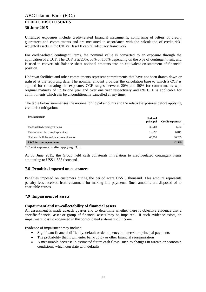Unfunded exposures include credit-related financial instruments, comprising of letters of credit, guarantees and commitments and are measured in accordance with the calculation of credit riskweighted assets in the CBB's Basel II capital adequacy framework.

For credit-related contingent items, the nominal value is converted to an exposure through the application of a CCF. The CCF is at 20%, 50% or 100% depending on the type of contingent item, and is used to convert off-Balance sheet notional amounts into an equivalent on-statement of financial position.

Undrawn facilities and other commitments represent commitments that have not been drawn down or utilised at the reporting date. The nominal amount provides the calculation base to which a CCF is applied for calculating the exposure. CCF ranges between 20% and 50% for commitments with original maturity of up to one year and over one year respectively and 0% CCF is applicable for commitments which can be unconditionally cancelled at any time.

The table below summarises the notional principal amounts and the relative exposures before applying credit risk mitigation:

| <b>US\$</b> thousands                    | <b>Notional</b><br>principal | Credit exposure* |
|------------------------------------------|------------------------------|------------------|
| Trade-related contingent items           | 32,708                       | 6,542            |
| Transaction-related contingent items     | 12.097                       | 6,049            |
| Undrawn facilities and other commitments | 60.530                       | 30,265           |
| <b>RWA</b> for contingent items          |                              | 42,549           |

\* Credit exposure is after applying CCF.

At 30 June 2015, the Group held cash collaterals in relation to credit-related contingent items amounting to US\$ 1,533 thousand.

### <span id="page-16-0"></span>**7.8 Penalties imposed on customers**

Penalties imposed on customers during the period were US\$ 6 thousand. This amount represents penalty fees received from customers for making late payments. Such amounts are disposed of to charitable causes.

### <span id="page-16-1"></span>**7.9 Impairment of assets**

#### **Impairment and un-collectability of financial assets**

An assessment is made at each quarter end to determine whether there is objective evidence that a specific financial asset or group of financial assets may be impaired. If such evidence exists, an impairment loss is recognised in the consolidated statement of income.

Evidence of impairment may include:

- Significant financial difficulty, default or delinquency in interest or principal payments
- The probability that it will enter bankruptcy or other financial reorganisation
- A measurable decrease in estimated future cash flows, such as changes in arrears or economic conditions, which correlate with defaults.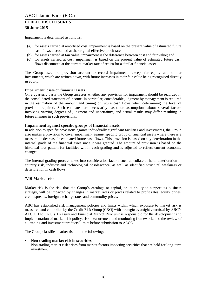Impairment is determined as follows:

- (a) for assets carried at amortised cost, impairment is based on the present value of estimated future cash flows discounted at the original effective profit rate;
- (b) for assets carried at fair value, impairment is the difference between cost and fair value; and
- (c) for assets carried at cost, impairment is based on the present value of estimated future cash flows discounted at the current market rate of return for a similar financial asset.

The Group uses the provision account to record impairments except for equity and similar investments, which are written down, with future increases in their fair value being recognised directly in equity.

### **Impairment losses on financial assets**

On a quarterly basis the Group assesses whether any provision for impairment should be recorded in the consolidated statement of income. In particular, considerable judgment by management is required in the estimation of the amount and timing of future cash flows when determining the level of provision required. Such estimates are necessarily based on assumptions about several factors involving varying degrees of judgment and uncertainty, and actual results may differ resulting in future changes in such provisions.

### **Impairment against specific groups of financial assets**

In addition to specific provisions against individually significant facilities and investments, the Group also makes a provision to cover impairment against specific group of financial assets where there is a measurable decrease in estimated future cash flows. This provision is based on any deterioration in the internal grade of the financial asset since it was granted. The amount of provision is based on the historical loss pattern for facilities within each grading and is adjusted to reflect current economic changes.

The internal grading process takes into consideration factors such as collateral held, deterioration in country risk, industry and technological obsolescence, as well as identified structural weakness or deterioration in cash flows.

### <span id="page-17-0"></span>**7.10 Market risk**

Market risk is the risk that the Group's earnings or capital, or its ability to support its business strategy, will be impacted by changes in market rates or prices related to profit rates, equity prices, credit spreads, foreign exchange rates and commodity prices.

ABC has established risk management policies and limits within which exposure to market risk is measured and controlled by the Credit Risk Group [CRG] with strategic oversight exercised by ABC's ALCO. The CRG's Treasury and Financial Market Risk unit is responsible for the development and implementation of market risk policy, risk measurement and monitoring framework, and the review of all trading and investment products/ limits before submission to ALCO.

The Group classifies market risk into the following:

#### **Non-trading market risk in securities**

Non-trading market risk arises from market factors impacting securities that are held for long-term investment.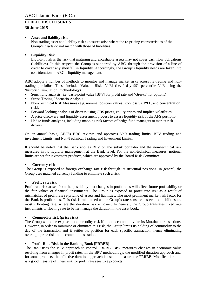### **Asset and liability risk**

Non-trading asset and liability risk exposures arise where the re-pricing characteristics of the Group's assets do not match with those of liabilities.

### **Liquidity Risk**

Liquidity risk is the risk that maturing and encashable assets may not cover cash flow obligations (liabilities). In this respect, the Group is supported by ABC, through the provision of a line of credit to cover any shortfall in liquidity. Accordingly, the Group's liquidity needs are taken into consideration in ABC's liquidity management.

ABC adopts a number of methods to monitor and manage market risks across its trading and nontrading portfolios. These include: Value-at-Risk [VaR] (i.e. 1-day 99<sup>th</sup> percentile VaR using the 'historical simulation' methodology)

- Sensitivity analysis (i.e. basis-point value [BPV] for profit rate and 'Greeks' for options)
- Stress Testing / Scenario Analysis
- Non-Technical Risk Measures (e.g. nominal position values, stop loss vs. P&L, and concentration risk).
- Forward-looking analysis of distress using CDS prices, equity prices and implied volatilities
- A price-discovery and liquidity assessment process to assess liquidity risk of the AFS portfolio<br>Hedge funds analytics, including manning risk factors of hedge fund managers to market risk
- Hedge funds analytics, including mapping risk factors of hedge fund managers to market risk drivers.

On an annual basis, ABC's BRC reviews and approves VaR trading limits, BPV trading and investment Limits, and Non-Technical Trading and Investment Limits.

It should be noted that the Bank applies BPV on the sukuk portfolio and the non-technical risk measures in its liquidity management at the Bank level. For the non-technical measures, notional limits are set for investment products, which are approved by the Board Risk Committee.

### **Currency risk**

The Group is exposed to foreign exchange rate risk through its structural positions. In general, the Group uses matched currency funding to eliminate such a risk.

### **Profit rate risk**

Profit rate risk arises from the possibility that changes in profit rates will affect future profitability or the fair values of financial instruments. The Group is exposed to profit rate risk as a result of mismatches of profit rate re-pricing of assets and liabilities. The most prominent market risk factor for the Bank is profit rates. This risk is minimised as the Group's rate sensitive assets and liabilities are mostly floating rate, where the duration risk is lower. In general, the Group translates fixed rate instruments to floating rate to better manage the duration in the asset book.

### **Commodity risk (price risk)**

The Group would be exposed to commodity risk if it holds commodity for its Murabaha transactions. However, in order to minimise or eliminate this risk, the Group limits its holding of commodity to the day of the transaction and it settles its position for each specific transaction, hence eliminating overnight price risk in the commodities traded.

### **Profit Rate Risk in the Banking Book [PRRBB]**

The Bank uses the BPV approach to control PRRBB. BPV measures changes in economic value resulting from changes in profit rates. In the BPV methodology, the modified duration approach and, for some products, the effective duration approach is used to measure the PRRBB. Modified duration is a good measure of linear risk for profit rate sensitive products.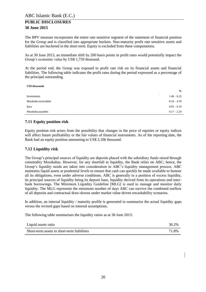The BPV measure incorporates the entire rate sensitive segment of the statement of financial position for the Group and is classified into appropriate buckets. Non-maturity profit rate sensitive assets and liabilities are bucketed in the short term. Equity is excluded from these computations.

As at 30 June 2015, an immediate shift by 200 basis points in profit rates would potentially impact the Group's economic value by US\$ 1,759 thousand.

At the period end, the Group was exposed to profit rate risk on its financial assets and financial liabilities. The following table indicates the profit rates during the period expressed as a percentage of the principal outstanding.

| <b>US\$</b> thousands |               |
|-----------------------|---------------|
|                       | $\frac{6}{9}$ |
| Investments           | $1.46 - 6.25$ |
| Murabaha receivables  | $0.10 - 4.78$ |
| Ijara                 | $0.93 - 6.10$ |
| Murabaha payables     | $0.17 - 2.29$ |

# <span id="page-19-0"></span>**7.11 Equity position risk**

Equity position risk arises from the possibility that changes in the price of equities or equity indices will affect future profitability or the fair values of financial instruments. As of the reporting date, the Bank had an equity position amounting to US\$ 2,106 thousand.

### <span id="page-19-1"></span>**7.12 Liquidity risk**

The Group's principal sources of liquidity are deposits placed with the subsidiary funds raised through commodity Murabahas. However, for any shortfall in liquidity, the Bank relies on ABC; hence, the Group's liquidity needs are taken into consideration in ABC's liquidity management process. ABC maintains liquid assets at prudential levels to ensure that cash can quickly be made available to honour all its obligations, even under adverse conditions. ABC is generally in a position of excess liquidity, its principal sources of liquidity being its deposit base, liquidity derived from its operations and interbank borrowings. The Minimum Liquidity Guideline [MLG] is used to manage and monitor daily liquidity. The MLG represents the minimum number of days ABC can survive the combined outflow of all deposits and contractual draw-downs under market value driven encashability scenarios.

In addition, an internal liquidity / maturity profile is generated to summarise the actual liquidity gaps versus the revised gaps based on internal assumptions.

The following table summarises the liquidity ratios as at 30 June 2015:

| Liquid assets ratio                         | 30.2% |
|---------------------------------------------|-------|
| Short-term assets to short-term liabilities | 71.8% |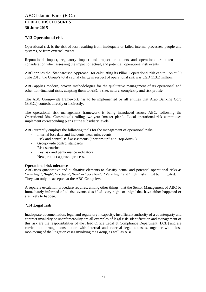# <span id="page-20-0"></span>**7.13 Operational risk**

Operational risk is the risk of loss resulting from inadequate or failed internal processes, people and systems, or from external events.

Reputational impact, regulatory impact and impact on clients and operations are taken into consideration when assessing the impact of actual, and potential, operational risk events.

ABC applies the 'Standardised Approach' for calculating its Pillar 1 operational risk capital. As at 30 June 2015, the Group's total capital charge in respect of operational risk was USD 113.2 million.

ABC applies modern, proven methodologies for the qualitative management of its operational and other non-financial risks, adapting them to ABC's size, nature, complexity and risk profile.

The ABC Group-wide framework has to be implemented by all entities that Arab Banking Corp (B.S.C.) controls directly or indirectly.

The operational risk management framework is being introduced across ABC, following the Operational Risk Committee's rolling two-year 'master plan'. Local operational risk committees implement corresponding plans at the subsidiary levels.

ABC currently employs the following tools for the management of operational risks:

- Internal loss data and incidents, near miss events
- Risk and control self-assessments ("bottom-up" and "top-down")
- Group-wide control standards<br>- Risk scenarios
- Risk scenarios
- Key risk and performance indicators
- New product approval process.

#### **Operational risk tolerance**

ABC uses quantitative and qualitative elements to classify actual and potential operational risks as 'very high', 'high', 'medium', 'low' or 'very low'. 'Very high' and 'high' risks must be mitigated. They can only be accepted at the ABC Group level.

A separate escalation procedure requires, among other things, that the Senior Management of ABC be immediately informed of all risk events classified 'very high' or 'high' that have either happened or are likely to happen.

### <span id="page-20-1"></span>**7.14 Legal risk**

Inadequate documentation, legal and regulatory incapacity, insufficient authority of a counterparty and contract invalidity or unenforceability are all examples of legal risk. Identification and management of this risk are the responsibilities of the Head Office Legal & Compliance Department [LCD] and are carried out through consultation with internal and external legal counsels, together with close monitoring of the litigation cases involving the Group, as well as ABC.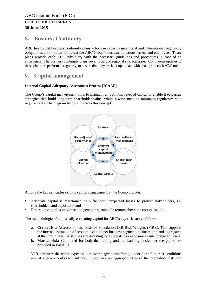# <span id="page-21-0"></span>**8. Business Continuity**

ABC has robust business continuity plans – both in order to meet local and international regulatory obligations, and in order to protect the ABC Group's business functions, assets and employees. These plans provide each ABC subsidiary with the necessary guidelines and procedures in case of an emergency. The business continuity plans cover local and regional risk scenarios. Continuous updates of these plans are performed regularly, to ensure that they are kept up to date with changes in each ABC unit.

# <span id="page-21-1"></span>**9. Capital management**

### **Internal Capital Adequacy Assessment Process [ICAAP]**

The Group's capital management aims to maintain an optimum level of capital to enable it to pursue strategies that build long-term shareholder value, whilst always meeting minimum regulatory ratio requirements. The diagram below illustrates this concept:



Among the key principles driving capital management at the Group include:

- Adequate capital is maintained as buffer for unexpected losses to protect stakeholders, i.e. shareholders and depositors; and
- Return on capital is maximised to generate sustainable returns above the cost of capital.

The methodologies for internally estimating capital for ABC's key risks are as follows:

- a. **Credit risk:** Assessed on the basis of Foundation IRB Risk Weights (FIRB). This supports the internal estimation of economic capital per business segment, business unit and aggregated at the Group level. ABC uses stress-testing to review its risk exposure against budgeted levels.
- b. **Market risk:** Computed for both the trading and the banking books per the guidelines provided in Basel III.

VaR measures the worst expected loss over a given timeframe, under normal market conditions and at a given confidence interval. It provides an aggregate view of the portfolio's risk that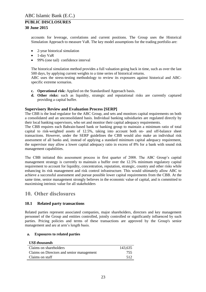accounts for leverage, correlations and current positions. The Group uses the Historical Simulation Approach to measure VaR. The key model assumptions for the trading portfolio are:

- 2-year historical simulation
- $\bullet$  1-day VaR
- 99% (one tail) confidence interval

The historical simulation method provides a full valuation going back in time, such as over the last 500 days, by applying current weights to a time series of historical returns.

ABC uses the stress-testing methodology to review its exposures against historical and ABCspecific extreme scenarios.

- **c. Operational risk:** Applied on the Standardised Approach basis.
- **d. Other risks:** such as liquidity, strategic and reputational risks are currently captured providing a capital buffer.

### **Supervisory Review and Evaluation Process [SERP]**

The CBB is the lead regulator for the ABC Group, and sets and monitors capital requirements on both a consolidated and an unconsolidated basis. Individual banking subsidiaries are regulated directly by their local banking supervisors, who set and monitor their capital adequacy requirements.

The CBB requires each Bahrain-based bank or banking group to maintain a minimum ratio of total capital to risk-weighted assets of 12.5%, taking into account both on- and off-balance sheet transactions. However, under the SERP guidelines the CBB would also make an individual risk assessment of all banks and, instead of applying a standard minimum capital adequacy requirement, the supervisor may allow a lower capital adequacy ratio in excess of 8% for a bank with sound risk management capabilities.

The CBB initiated this assessment process in first quarter of 2008. The ABC Group's capital management strategy is currently to maintain a buffer over the 12.5% minimum regulatory capital requirement to account for liquidity, concentration, reputation, strategic, country and other risks while enhancing its risk management and risk control infrastructure. This would ultimately allow ABC to achieve a successful assessment and pursue possible lower capital requirements from the CBB. At the same time, senior management strongly believes in the economic value of capital, and is committed to maximising intrinsic value for all stakeholders

# <span id="page-22-0"></span>**10. Other disclosures**

### <span id="page-22-1"></span>**10.1 Related party transactions**

Related parties represent associated companies, major shareholders, directors and key management personnel of the Group and entities controlled, jointly controlled or significantly influenced by such parties. Pricing policies and terms of these transactions are approved by the Group's senior management and are at arm's length basis.

### **a. Exposures to related parties**

| <b>US\$</b> thousands                     |         |
|-------------------------------------------|---------|
| Claims on shareholders                    | 143,635 |
| Claims on Directors and senior management | 755     |
| Claims on staff                           | 512     |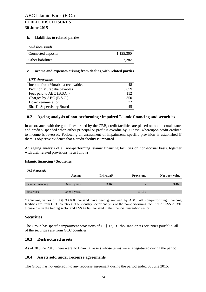#### **b. Liabilities to related parties**

| <b>US\$</b> thousands |           |
|-----------------------|-----------|
| Connected deposits    | 1.125.300 |
| Other liabilities     | 2.282     |

#### **c. Income and expenses arising from dealing with related parties**

| <b>US\$</b> thousands            |       |
|----------------------------------|-------|
| Income from Murabaha receivables | 48    |
| Profit on Murabaha payables      | 3,859 |
| Fees paid to ABC (B.S.C.)        | 112   |
| Charges by ABC (B.S.C.)          | 350   |
| Board remuneration               | 72    |
| Shari'a Supervisory Board        | 45    |

### <span id="page-23-0"></span>**10.2 Ageing analysis of non-performing / impaired Islamic financing and securities**

In accordance with the guidelines issued by the CBB, credit facilities are placed on non-accrual status and profit suspended when either principal or profit is overdue by 90 days, whereupon profit credited to income is reversed. Following an assessment of impairment, specific provision is established if there is objective evidence that a credit facility is impaired.

An ageing analysis of all non-performing Islamic financing facilities on non-accrual basis, together with their related provisions, is as follows:

### **Islamic financing / Securities**

*US\$ thousands*

|                   | Ageing       | Principal* | <b>Provisions</b> | Net book value |
|-------------------|--------------|------------|-------------------|----------------|
| Islamic financing | Over 3 years | 33,460     |                   | 33,460         |
| Securities        | Over 3 years |            | 13,131            | -              |

\* Carrying values of US\$ 33,460 thousand have been guaranteed by ABC. All non-performing financing facilities are from GCC countries. The industry sector analysis of the non-performing facilities of US\$ 29,391 thousand is in the trading sector and US\$ 4,069 thousand in the financial institution sector.

### **Securities**

The Group has specific impairment provisions of US\$ 13,131 thousand on its securities portfolio, all of the securities are from GCC countries.

### <span id="page-23-1"></span>**10.3 Restructured assets**

As of 30 June 2015, there were no financial assets whose terms were renegotiated during the period.

### <span id="page-23-2"></span>**10.4 Assets sold under recourse agreements**

The Group has not entered into any recourse agreement during the period ended 30 June 2015.